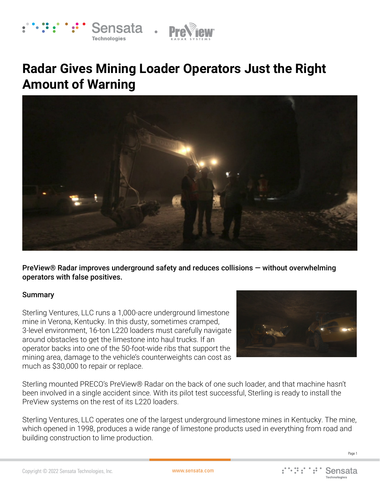



# **Radar Gives Mining Loader Operators Just the Right Amount of Warning**



PreView® Radar improves underground safety and reduces collisions — without overwhelming operators with false positives.

#### Summary

Sterling Ventures, LLC runs a 1,000-acre underground limestone mine in Verona, Kentucky. In this dusty, sometimes cramped, 3-level environment, 16-ton L220 loaders must carefully navigate around obstacles to get the limestone into haul trucks. If an operator backs into one of the 50-foot-wide ribs that support the mining area, damage to the vehicle's counterweights can cost as much as \$30,000 to repair or replace.



Sterling mounted PRECO's PreView® Radar on the back of one such loader, and that machine hasn't been involved in a single accident since. With its pilot test successful, Sterling is ready to install the PreView systems on the rest of its L220 loaders.

Sterling Ventures, LLC operates one of the largest underground limestone mines in Kentucky. The mine, which opened in 1998, produces a wide range of limestone products used in everything from road and building construction to lime production.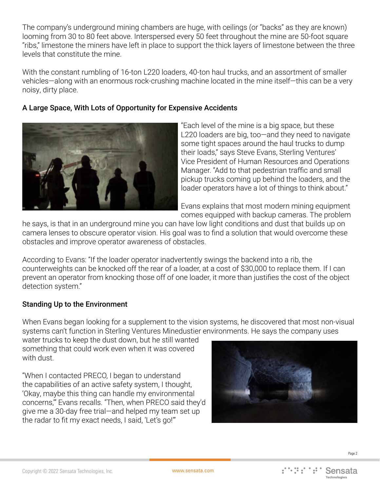The company's underground mining chambers are huge, with ceilings (or "backs" as they are known) looming from 30 to 80 feet above. Interspersed every 50 feet throughout the mine are 50-foot square "ribs," limestone the miners have left in place to support the thick layers of limestone between the three levels that constitute the mine.

With the constant rumbling of 16-ton L220 loaders, 40-ton haul trucks, and an assortment of smaller vehicles—along with an enormous rock-crushing machine located in the mine itself—this can be a very noisy, dirty place.

# A Large Space, With Lots of Opportunity for Expensive Accidents



"Each level of the mine is a big space, but these L220 loaders are big, too—and they need to navigate some tight spaces around the haul trucks to dump their loads," says Steve Evans, Sterling Ventures' Vice President of Human Resources and Operations Manager. "Add to that pedestrian traffic and small pickup trucks coming up behind the loaders, and the loader operators have a lot of things to think about."

Evans explains that most modern mining equipment comes equipped with backup cameras. The problem

he says, is that in an underground mine you can have low light conditions and dust that builds up on camera lenses to obscure operator vision. His goal was to find a solution that would overcome these obstacles and improve operator awareness of obstacles.

According to Evans: "If the loader operator inadvertently swings the backend into a rib, the counterweights can be knocked off the rear of a loader, at a cost of \$30,000 to replace them. If I can prevent an operator from knocking those off of one loader, it more than justifies the cost of the object detection system."

## Standing Up to the Environment

When Evans began looking for a supplement to the vision systems, he discovered that most non-visual systems can't function in Sterling Ventures Minedustier environments. He says the company uses

water trucks to keep the dust down, but he still wanted something that could work even when it was covered with dust.

"When I contacted PRECO, I began to understand the capabilities of an active safety system, I thought, 'Okay, maybe this thing can handle my environmental concerns,'" Evans recalls. "Then, when PRECO said they'd give me a 30-day free trial—and helped my team set up the radar to fit my exact needs, I said, 'Let's go!'"

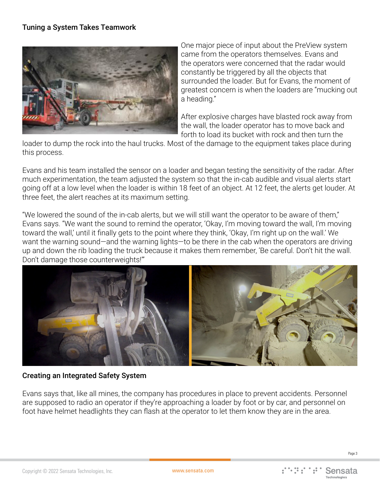## Tuning a System Takes Teamwork



One major piece of input about the PreView system came from the operators themselves. Evans and the operators were concerned that the radar would constantly be triggered by all the objects that surrounded the loader. But for Evans, the moment of greatest concern is when the loaders are "mucking out a heading."

After explosive charges have blasted rock away from the wall, the loader operator has to move back and forth to load its bucket with rock and then turn the

loader to dump the rock into the haul trucks. Most of the damage to the equipment takes place during this process.

Evans and his team installed the sensor on a loader and began testing the sensitivity of the radar. After much experimentation, the team adjusted the system so that the in-cab audible and visual alerts start going off at a low level when the loader is within 18 feet of an object. At 12 feet, the alerts get louder. At three feet, the alert reaches at its maximum setting.

"We lowered the sound of the in-cab alerts, but we will still want the operator to be aware of them," Evans says. "We want the sound to remind the operator, 'Okay, I'm moving toward the wall, I'm moving toward the wall,' until it finally gets to the point where they think, 'Okay, I'm right up on the wall.' We want the warning sound—and the warning lights—to be there in the cab when the operators are driving up and down the rib loading the truck because it makes them remember, 'Be careful. Don't hit the wall. Don't damage those counterweights!'"



#### Creating an Integrated Safety System

Evans says that, like all mines, the company has procedures in place to prevent accidents. Personnel are supposed to radio an operator if they're approaching a loader by foot or by car, and personnel on foot have helmet headlights they can flash at the operator to let them know they are in the area.

Page 3